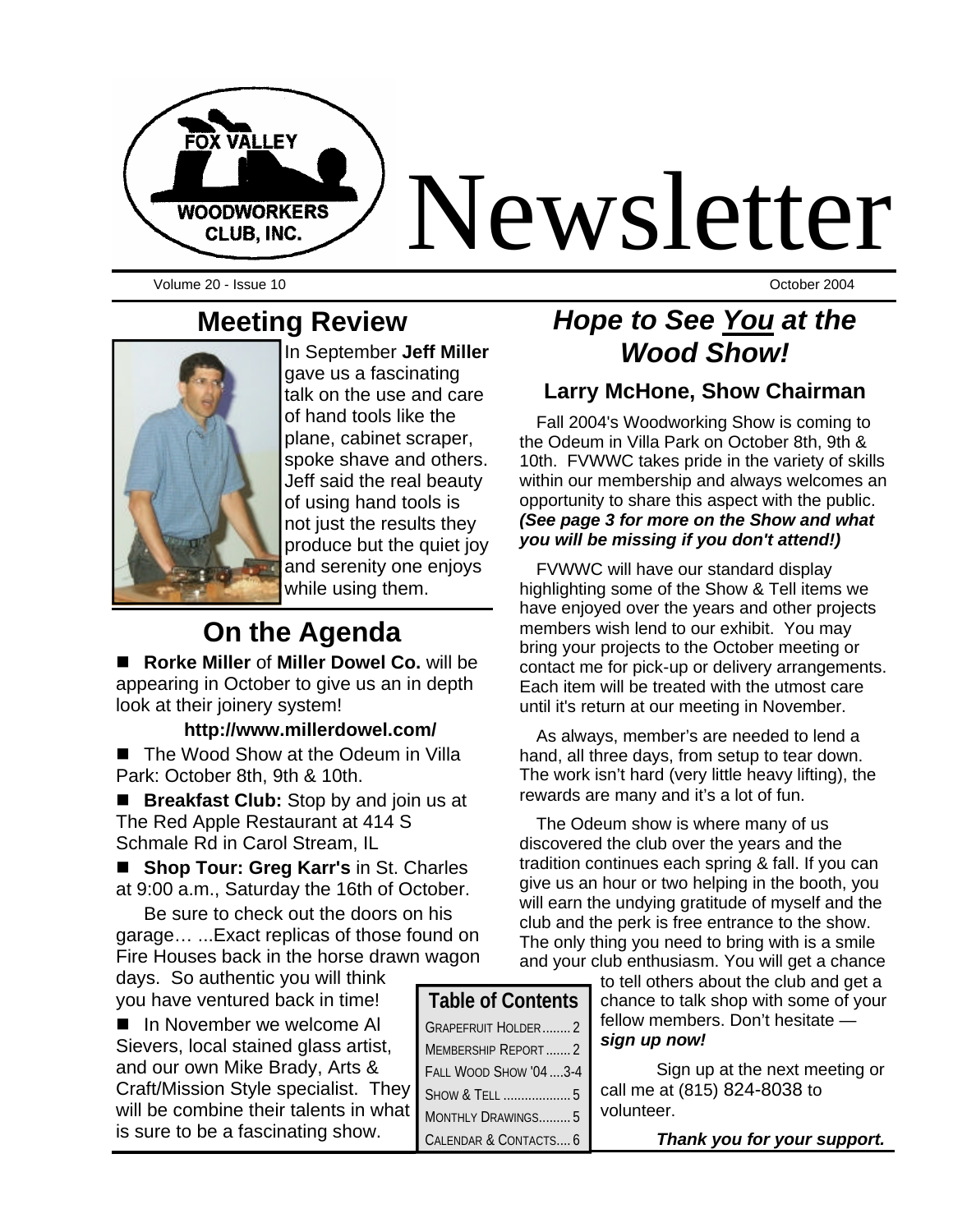

Volume 20 - Issue 10 October 2004

## **Meeting Review**



In September **Jeff Miller**  gave us a fascinating talk on the use and care of hand tools like the plane, cabinet scraper, spoke shave and others. Jeff said the real beauty of using hand tools is not just the results they produce but the quiet joy and serenity one enjoys while using them.

# **On the Agenda**

■ Rorke Miller of Miller Dowel Co. will be appearing in October to give us an in depth look at their joinery system!

#### **http://www.millerdowel.com/**

■ The Wood Show at the Odeum in Villa Park: October 8th, 9th & 10th.

■ **Breakfast Club:** Stop by and join us at The Red Apple Restaurant at 414 S Schmale Rd in Carol Stream, IL

■ Shop Tour: Greg Karr's in St. Charles at 9:00 a.m., Saturday the 16th of October.

Be sure to check out the doors on his garage… ...Exact replicas of those found on Fire Houses back in the horse drawn wagon

days. So authentic you will think you have ventured back in time!

■ In November we welcome AI Sievers, local stained glass artist, and our own Mike Brady, Arts & Craft/Mission Style specialist. They will be combine their talents in what is sure to be a fascinating show.

# *Hope to See You at the Wood Show!*

#### **Larry McHone, Show Chairman**

Fall 2004's Woodworking Show is coming to the Odeum in Villa Park on October 8th, 9th & 10th. FVWWC takes pride in the variety of skills within our membership and always welcomes an opportunity to share this aspect with the public. *(See page 3 for more on the Show and what you will be missing if you don't attend!)*

FVWWC will have our standard display highlighting some of the Show & Tell items we have enjoyed over the years and other projects members wish lend to our exhibit. You may bring your projects to the October meeting or contact me for pick-up or delivery arrangements. Each item will be treated with the utmost care until it's return at our meeting in November.

As always, member's are needed to lend a hand, all three days, from setup to tear down. The work isn't hard (very little heavy lifting), the rewards are many and it's a lot of fun.

The Odeum show is where many of us discovered the club over the years and the tradition continues each spring & fall. If you can give us an hour or two helping in the booth, you will earn the undying gratitude of myself and the club and the perk is free entrance to the show. The only thing you need to bring with is a smile and your club enthusiasm. You will get a chance

to tell others about the club and get a chance to talk shop with some of your fellow members. Don't hesitate *sign up now!*

Sign up at the next meeting or call me at (815) 824-8038 to volunteer.

| Thank you for your support. |  |  |  |  |  |  |
|-----------------------------|--|--|--|--|--|--|
|-----------------------------|--|--|--|--|--|--|

| <b>Table of Contents</b>  |  |  |  |  |
|---------------------------|--|--|--|--|
| <b>GRAPEFRUIT HOLDER2</b> |  |  |  |  |
| MEMBERSHIP REPORT2        |  |  |  |  |
| FALL WOOD SHOW '04  3-4   |  |  |  |  |
| SHOW & TELL  5            |  |  |  |  |
| MONTHLY DRAWINGS5         |  |  |  |  |
| CALENDAR & CONTACTS 6     |  |  |  |  |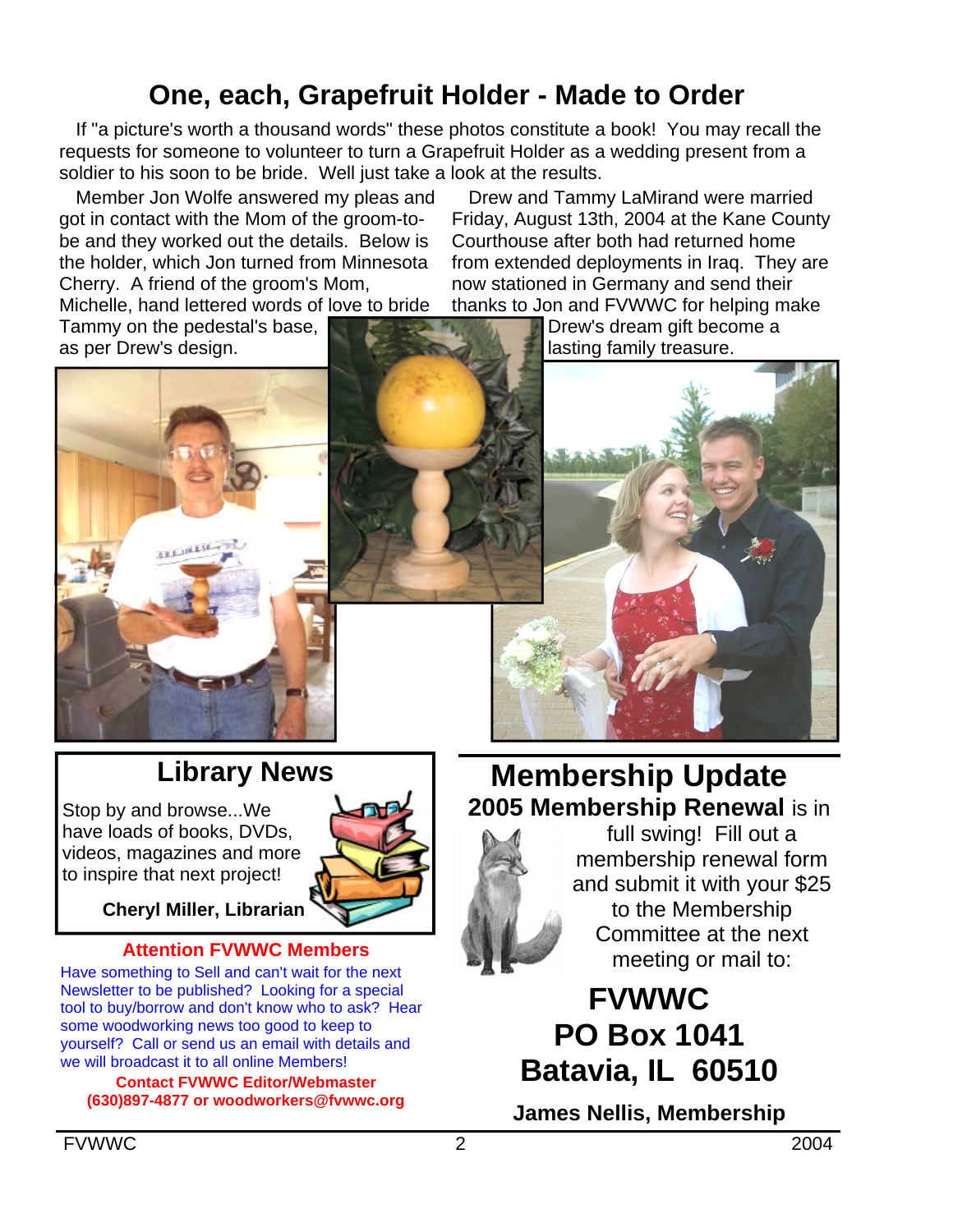# **One, each, Grapefruit Holder - Made to Order**

If "a picture's worth a thousand words" these photos constitute a book! You may recall the requests for someone to volunteer to turn a Grapefruit Holder as a wedding present from a soldier to his soon to be bride. Well just take a look at the results.

Member Jon Wolfe answered my pleas and got in contact with the Mom of the groom-tobe and they worked out the details. Below is the holder, which Jon turned from Minnesota Cherry. A friend of the groom's Mom,

Drew and Tammy LaMirand were married Friday, August 13th, 2004 at the Kane County Courthouse after both had returned home from extended deployments in Iraq. They are now stationed in Germany and send their thanks to Jon and FVWWC for helping make

Michelle, hand lettered words of love to bride Tammy on the pedestal's base,

Drew's dream gift become a lasting family treasure.





# **Library News**

Stop by and browse...We have loads of books, DVDs, videos, magazines and more to inspire that next project!



**Cheryl Miller, Librarian**

#### **Attention FVWWC Members**

Have something to Sell and can't wait for the next Newsletter to be published? Looking for a special tool to buy/borrow and don't know who to ask? Hear some woodworking news too good to keep to yourself? Call or send us an email with details and we will broadcast it to all online Members!

**Contact FVWWC Editor/Webmaster (630)897-4877 or woodworkers@fvwwc.org**

## **Membership Update 2005 Membership Renewal** is in



full swing! Fill out a membership renewal form and submit it with your \$25 to the Membership Committee at the next meeting or mail to:

# **FVWWC PO Box 1041 Batavia, IL 60510**

**James Nellis, Membership**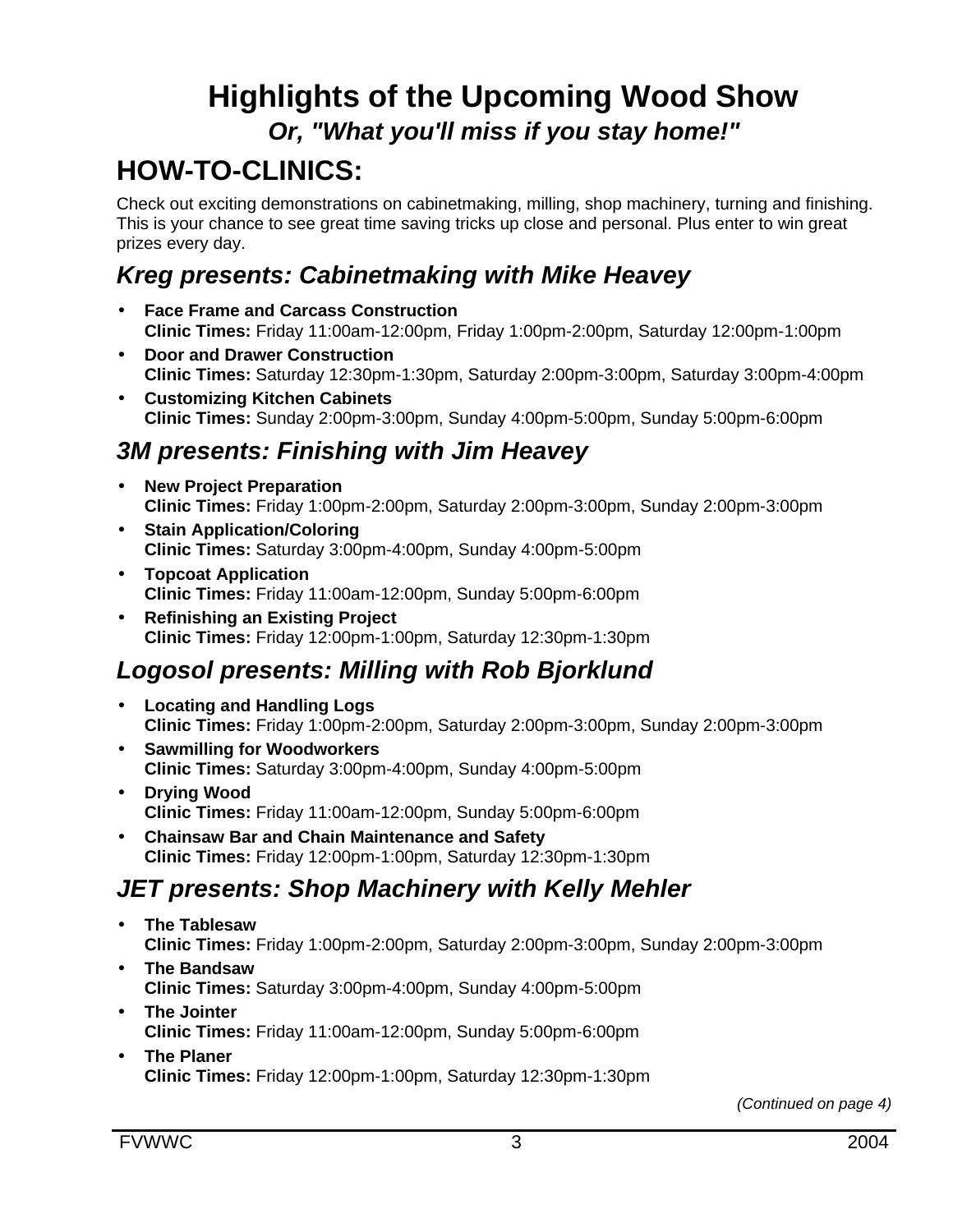# **Highlights of the Upcoming Wood Show** *Or, "What you'll miss if you stay home!"*

# **HOW-TO-CLINICS:**

Check out exciting demonstrations on cabinetmaking, milling, shop machinery, turning and finishing. This is your chance to see great time saving tricks up close and personal. Plus enter to win great prizes every day.

# *Kreg presents: Cabinetmaking with Mike Heavey*

- **Face Frame and Carcass Construction Clinic Times:** Friday 11:00am-12:00pm, Friday 1:00pm-2:00pm, Saturday 12:00pm-1:00pm
- **Door and Drawer Construction Clinic Times:** Saturday 12:30pm-1:30pm, Saturday 2:00pm-3:00pm, Saturday 3:00pm-4:00pm
- **Customizing Kitchen Cabinets Clinic Times:** Sunday 2:00pm-3:00pm, Sunday 4:00pm-5:00pm, Sunday 5:00pm-6:00pm

## *3M presents: Finishing with Jim Heavey*

- **New Project Preparation Clinic Times:** Friday 1:00pm-2:00pm, Saturday 2:00pm-3:00pm, Sunday 2:00pm-3:00pm
- **Stain Application/Coloring Clinic Times:** Saturday 3:00pm-4:00pm, Sunday 4:00pm-5:00pm
- **Topcoat Application Clinic Times:** Friday 11:00am-12:00pm, Sunday 5:00pm-6:00pm
- **Refinishing an Existing Project Clinic Times:** Friday 12:00pm-1:00pm, Saturday 12:30pm-1:30pm

# *Logosol presents: Milling with Rob Bjorklund*

- **Locating and Handling Logs Clinic Times:** Friday 1:00pm-2:00pm, Saturday 2:00pm-3:00pm, Sunday 2:00pm-3:00pm
- **Sawmilling for Woodworkers Clinic Times:** Saturday 3:00pm-4:00pm, Sunday 4:00pm-5:00pm
- **Drying Wood Clinic Times:** Friday 11:00am-12:00pm, Sunday 5:00pm-6:00pm
- **Chainsaw Bar and Chain Maintenance and Safety Clinic Times:** Friday 12:00pm-1:00pm, Saturday 12:30pm-1:30pm

## *JET presents: Shop Machinery with Kelly Mehler*

- **The Tablesaw Clinic Times:** Friday 1:00pm-2:00pm, Saturday 2:00pm-3:00pm, Sunday 2:00pm-3:00pm
- **The Bandsaw Clinic Times:** Saturday 3:00pm-4:00pm, Sunday 4:00pm-5:00pm
- **The Jointer Clinic Times:** Friday 11:00am-12:00pm, Sunday 5:00pm-6:00pm
- **The Planer Clinic Times:** Friday 12:00pm-1:00pm, Saturday 12:30pm-1:30pm

*(Continued on page 4)*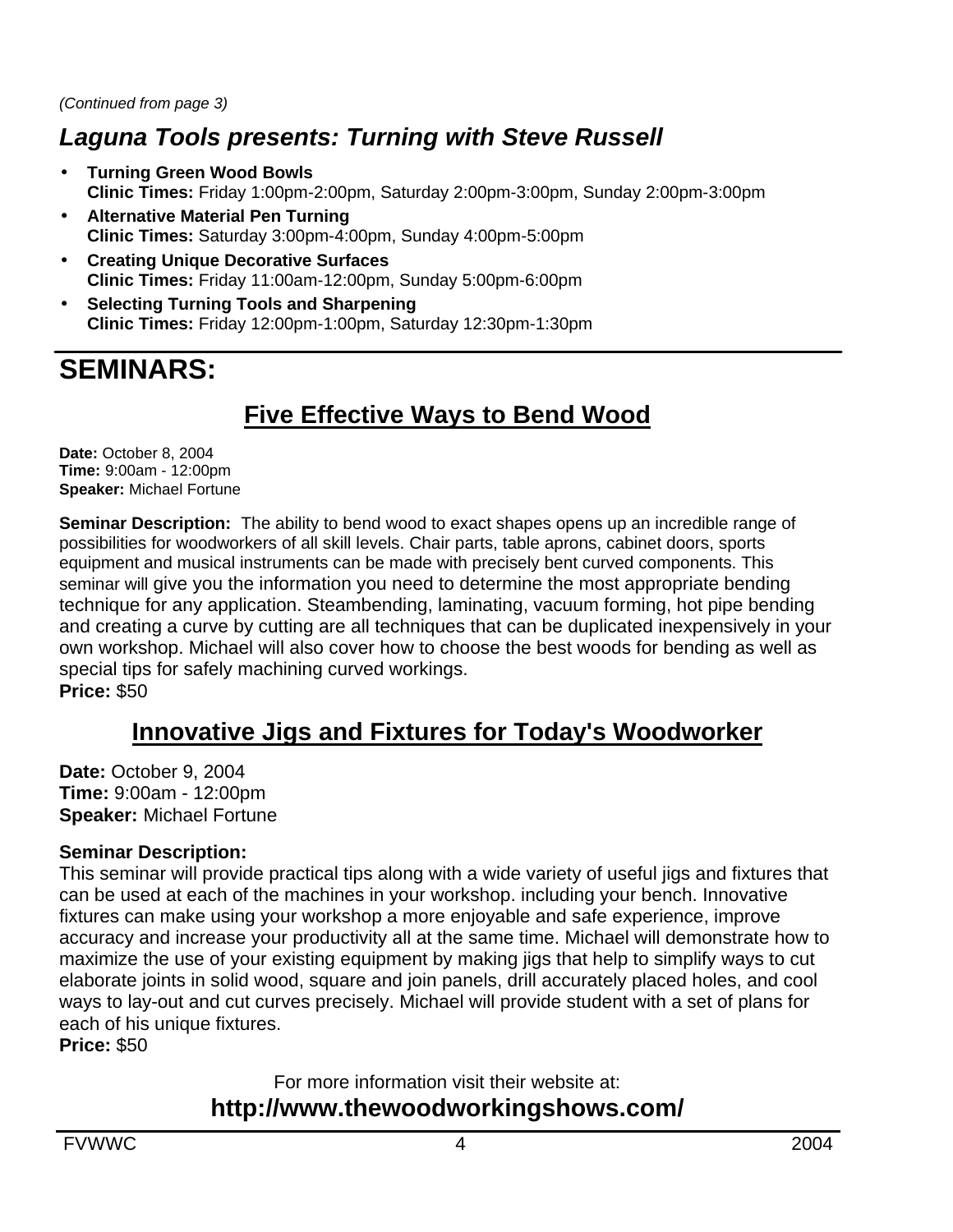## *Laguna Tools presents: Turning with Steve Russell*

- **Turning Green Wood Bowls Clinic Times:** Friday 1:00pm-2:00pm, Saturday 2:00pm-3:00pm, Sunday 2:00pm-3:00pm
- **Alternative Material Pen Turning Clinic Times:** Saturday 3:00pm-4:00pm, Sunday 4:00pm-5:00pm
- **Creating Unique Decorative Surfaces Clinic Times:** Friday 11:00am-12:00pm, Sunday 5:00pm-6:00pm
- **Selecting Turning Tools and Sharpening Clinic Times:** Friday 12:00pm-1:00pm, Saturday 12:30pm-1:30pm

# **SEMINARS:**

## **Five Effective Ways to Bend Wood**

**Date:** October 8, 2004 **Time:** 9:00am - 12:00pm **Speaker:** Michael Fortune

**Seminar Description:** The ability to bend wood to exact shapes opens up an incredible range of possibilities for woodworkers of all skill levels. Chair parts, table aprons, cabinet doors, sports equipment and musical instruments can be made with precisely bent curved components. This seminar will give you the information you need to determine the most appropriate bending technique for any application. Steambending, laminating, vacuum forming, hot pipe bending and creating a curve by cutting are all techniques that can be duplicated inexpensively in your own workshop. Michael will also cover how to choose the best woods for bending as well as special tips for safely machining curved workings. **Price:** \$50

#### **Innovative Jigs and Fixtures for Today's Woodworker**

**Date:** October 9, 2004 **Time:** 9:00am - 12:00pm **Speaker:** Michael Fortune

#### **Seminar Description:**

This seminar will provide practical tips along with a wide variety of useful jigs and fixtures that can be used at each of the machines in your workshop. including your bench. Innovative fixtures can make using your workshop a more enjoyable and safe experience, improve accuracy and increase your productivity all at the same time. Michael will demonstrate how to maximize the use of your existing equipment by making jigs that help to simplify ways to cut elaborate joints in solid wood, square and join panels, drill accurately placed holes, and cool ways to lay-out and cut curves precisely. Michael will provide student with a set of plans for each of his unique fixtures.

**Price:** \$50

For more information visit their website at:

#### **http://www.thewoodworkingshows.com/**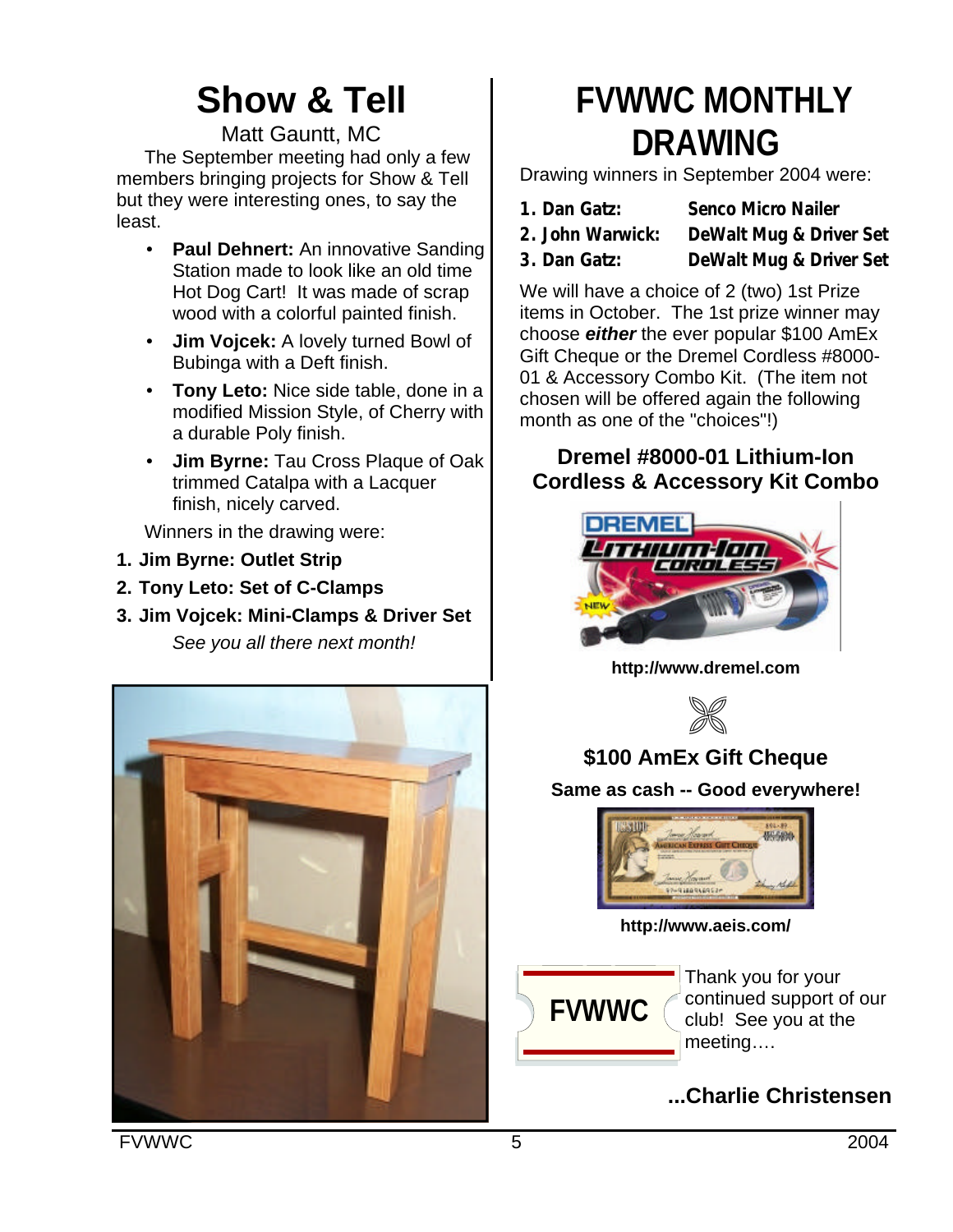# **Show & Tell**

Matt Gauntt, MC

The September meeting had only a few members bringing projects for Show & Tell but they were interesting ones, to say the least.

- **Paul Dehnert:** An innovative Sanding Station made to look like an old time Hot Dog Cart! It was made of scrap wood with a colorful painted finish.
- **Jim Vojcek:** A lovely turned Bowl of Bubinga with a Deft finish.
- **Tony Leto:** Nice side table, done in a modified Mission Style, of Cherry with a durable Poly finish.
- **Jim Byrne:** Tau Cross Plaque of Oak trimmed Catalpa with a Lacquer finish, nicely carved.

Winners in the drawing were:

- **1. Jim Byrne: Outlet Strip**
- **2. Tony Leto: Set of C-Clamps**
- **3. Jim Vojcek: Mini-Clamps & Driver Set** *See you all there next month!*



# **FVWWC MONTHLY DRAWING**

Drawing winners in September 2004 were:

- **1. Dan Gatz: Senco Micro Nailer 2. John Warwick: DeWalt Mug & Driver Set**
- 
- **3. Dan Gatz: DeWalt Mug & Driver Set**

We will have a choice of 2 (two) 1st Prize items in October. The 1st prize winner may choose *either* the ever popular \$100 AmEx Gift Cheque or the Dremel Cordless #8000- 01 & Accessory Combo Kit. (The item not chosen will be offered again the following month as one of the "choices"!)

#### **Dremel #8000-01 Lithium-Ion Cordless & Accessory Kit Combo**



**http://www.dremel.com**



## **\$100 AmEx Gift Cheque**

**Same as cash -- Good everywhere!**



**http://www.aeis.com/**



Thank you for your continued support of our club! See you at the meeting….

## **...Charlie Christensen**

FVWWC 5 2004